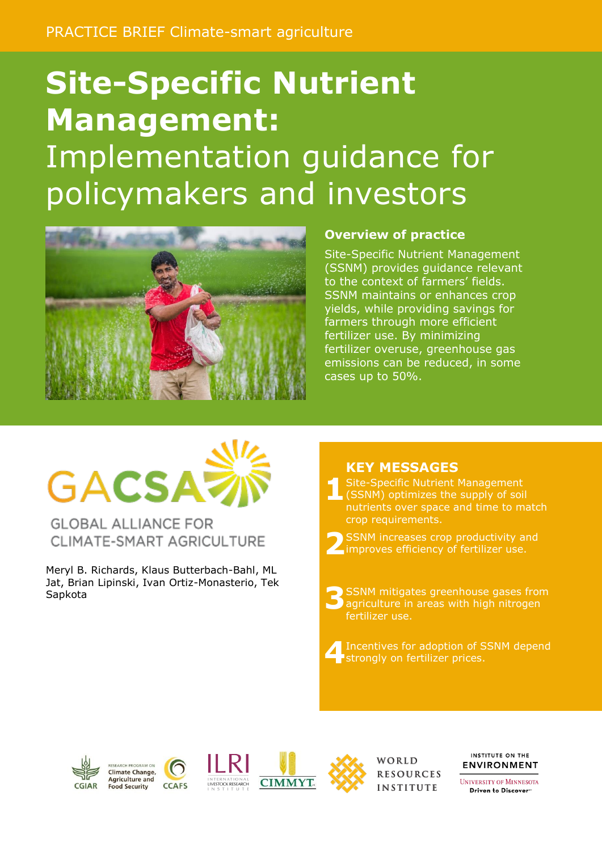# **Site-Specific Nutrient Management:** Implementation guidance for policymakers and investors



#### **Overview of practice**

Site-Specific Nutrient Management (SSNM) provides guidance relevant to the context of farmers' fields. SSNM maintains or enhances crop yields, while providing savings for farmers through more efficient fertilizer use. By minimizing fertilizer overuse, greenhouse gas emissions can be reduced, in some cases up to 50%.

# **GACSA?**

**GLOBAL ALLIANCE FOR** CLIMATE-SMART AGRICULTURE

Meryl B. Richards, Klaus Butterbach-Bahl, ML Jat, Brian Lipinski, Ivan Ortiz-Monasterio, Tek Sapkota

#### **KEY MESSAGES**

**1** Site-Specific Nutrient Management (SSNM) optimizes the supply of soil nutrients over space and time to match crop requirements.

**2** SSNM increases crop productivity and improves efficiency of fertilizer use.

**3** SSNM mitigates greenhouse gases from agriculture in areas with high nitrogen fertilizer use.

**4** Incentives for adoption of SSNM depend strongly on fertilizer prices.









WORLD RESOURCES **INSTITUTE** 

INSTITUTE ON THE **ENVIRONMENT** 

**UNIVERSITY OF MINNESOTA** Driven to Discover<sup>®</sup>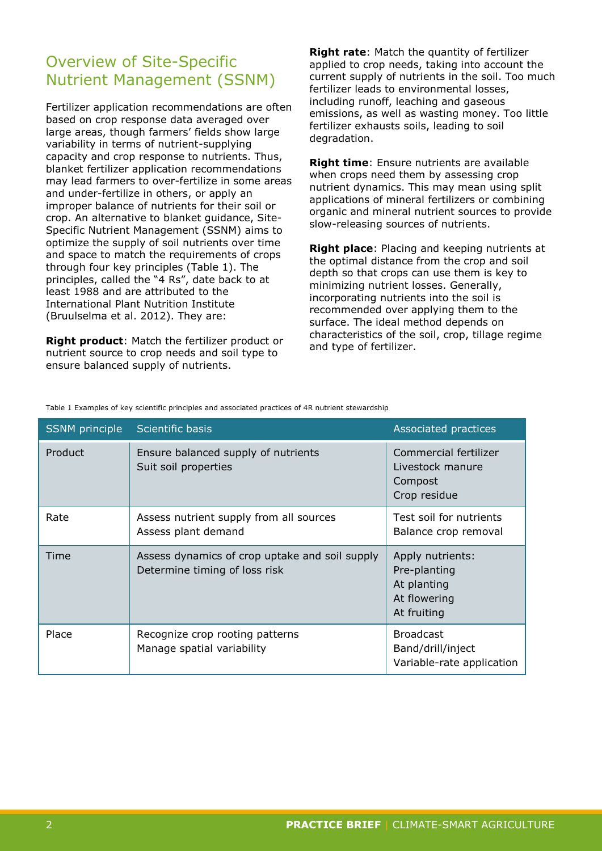# Overview of Site-Specific Nutrient Management (SSNM)

Fertilizer application recommendations are often based on crop response data averaged over large areas, though farmers' fields show large variability in terms of nutrient-supplying capacity and crop response to nutrients. Thus, blanket fertilizer application recommendations may lead farmers to over-fertilize in some areas and under-fertilize in others, or apply an improper balance of nutrients for their soil or crop. An alternative to blanket guidance, Site-Specific Nutrient Management (SSNM) aims to optimize the supply of soil nutrients over time and space to match the requirements of crops through four key principles (Table 1). The principles, called the "4 Rs", date back to at least 1988 and are attributed to the International Plant Nutrition Institute (Bruulselma et al. 2012). They are:

**Right product**: Match the fertilizer product or nutrient source to crop needs and soil type to ensure balanced supply of nutrients.

**Right rate**: Match the quantity of fertilizer applied to crop needs, taking into account the current supply of nutrients in the soil. Too much fertilizer leads to environmental losses, including runoff, leaching and gaseous emissions, as well as wasting money. Too little fertilizer exhausts soils, leading to soil degradation.

**Right time**: Ensure nutrients are available when crops need them by assessing crop nutrient dynamics. This may mean using split applications of mineral fertilizers or combining organic and mineral nutrient sources to provide slow-releasing sources of nutrients.

**Right place**: Placing and keeping nutrients at the optimal distance from the crop and soil depth so that crops can use them is key to minimizing nutrient losses. Generally, incorporating nutrients into the soil is recommended over applying them to the surface. The ideal method depends on characteristics of the soil, crop, tillage regime and type of fertilizer.

| SSNM principle | Scientific basis                                                                | Associated practices                                                           |
|----------------|---------------------------------------------------------------------------------|--------------------------------------------------------------------------------|
| Product        | Ensure balanced supply of nutrients<br>Suit soil properties                     | Commercial fertilizer<br>Livestock manure<br>Compost<br>Crop residue           |
| Rate           | Assess nutrient supply from all sources<br>Assess plant demand                  | Test soil for nutrients<br>Balance crop removal                                |
| Time           | Assess dynamics of crop uptake and soil supply<br>Determine timing of loss risk | Apply nutrients:<br>Pre-planting<br>At planting<br>At flowering<br>At fruiting |
| Place          | Recognize crop rooting patterns<br>Manage spatial variability                   | <b>Broadcast</b><br>Band/drill/inject<br>Variable-rate application             |

Table 1 Examples of key scientific principles and associated practices of 4R nutrient stewardship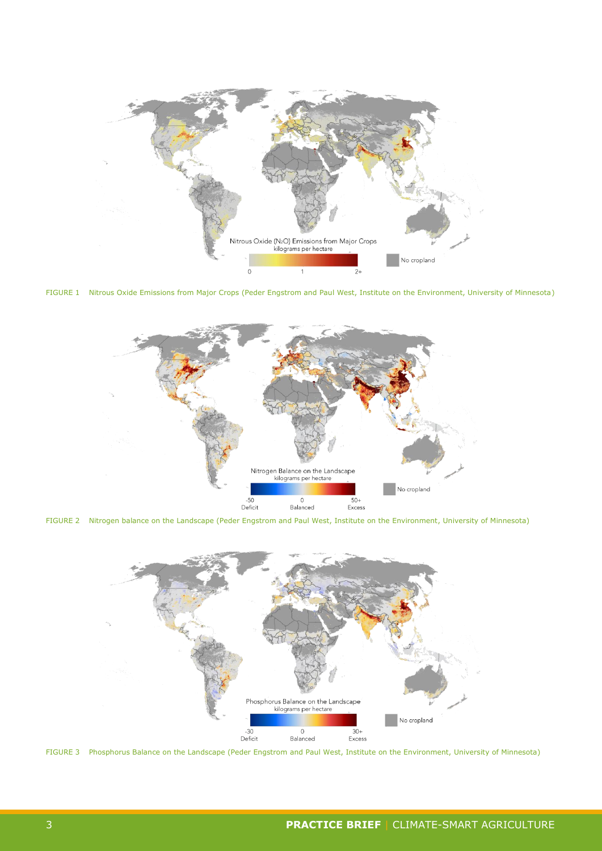

FIGURE 1 Nitrous Oxide Emissions from Major Crops (Peder Engstrom and Paul West, Institute on the Environment, University of Minnesota)



FIGURE 2 Nitrogen balance on the Landscape (Peder Engstrom and Paul West, Institute on the Environment, University of Minnesota)



FIGURE 3 Phosphorus Balance on the Landscape (Peder Engstrom and Paul West, Institute on the Environment, University of Minnesota)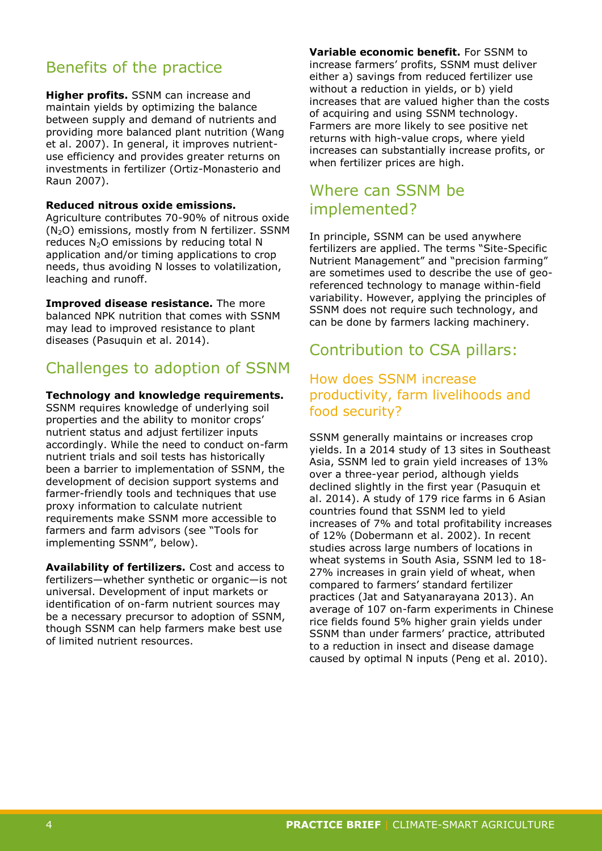# Benefits of the practice

**Higher profits.** SSNM can increase and maintain yields by optimizing the balance between supply and demand of nutrients and providing more balanced plant nutrition (Wang et al. 2007). In general, it improves nutrientuse efficiency and provides greater returns on investments in fertilizer (Ortiz-Monasterio and Raun 2007).

#### **Reduced nitrous oxide emissions.**

Agriculture contributes 70-90% of nitrous oxide (N2O) emissions, mostly from N fertilizer. SSNM reduces  $N_2O$  emissions by reducing total N application and/or timing applications to crop needs, thus avoiding N losses to volatilization, leaching and runoff.

**Improved disease resistance.** The more balanced NPK nutrition that comes with SSNM may lead to improved resistance to plant diseases (Pasuquin et al. 2014).

### Challenges to adoption of SSNM

#### **Technology and knowledge requirements.**

SSNM requires knowledge of underlying soil properties and the ability to monitor crops' nutrient status and adjust fertilizer inputs accordingly. While the need to conduct on-farm nutrient trials and soil tests has historically been a barrier to implementation of SSNM, the development of decision support systems and farmer-friendly tools and techniques that use proxy information to calculate nutrient requirements make SSNM more accessible to farmers and farm advisors (see "Tools for implementing SSNM", below).

**Availability of fertilizers.** Cost and access to fertilizers—whether synthetic or organic—is not universal. Development of input markets or identification of on-farm nutrient sources may be a necessary precursor to adoption of SSNM, though SSNM can help farmers make best use of limited nutrient resources.

**Variable economic benefit.** For SSNM to increase farmers' profits, SSNM must deliver either a) savings from reduced fertilizer use without a reduction in yields, or b) yield increases that are valued higher than the costs of acquiring and using SSNM technology. Farmers are more likely to see positive net returns with high-value crops, where yield increases can substantially increase profits, or when fertilizer prices are high.

#### Where can SSNM be implemented?

In principle, SSNM can be used anywhere fertilizers are applied. The terms "Site-Specific Nutrient Management" and "precision farming" are sometimes used to describe the use of georeferenced technology to manage within-field variability. However, applying the principles of SSNM does not require such technology, and can be done by farmers lacking machinery.

#### Contribution to CSA pillars:

#### How does SSNM increase productivity, farm livelihoods and food security?

SSNM generally maintains or increases crop yields. In a 2014 study of 13 sites in Southeast Asia, SSNM led to grain yield increases of 13% over a three-year period, although yields declined slightly in the first year (Pasuquin et al. 2014). A study of 179 rice farms in 6 Asian countries found that SSNM led to yield increases of 7% and total profitability increases of 12% (Dobermann et al. 2002). In recent studies across large numbers of locations in wheat systems in South Asia, SSNM led to 18- 27% increases in grain yield of wheat, when compared to farmers' standard fertilizer practices (Jat and Satyanarayana 2013). An average of 107 on-farm experiments in Chinese rice fields found 5% higher grain yields under SSNM than under farmers' practice, attributed to a reduction in insect and disease damage caused by optimal N inputs (Peng et al. 2010).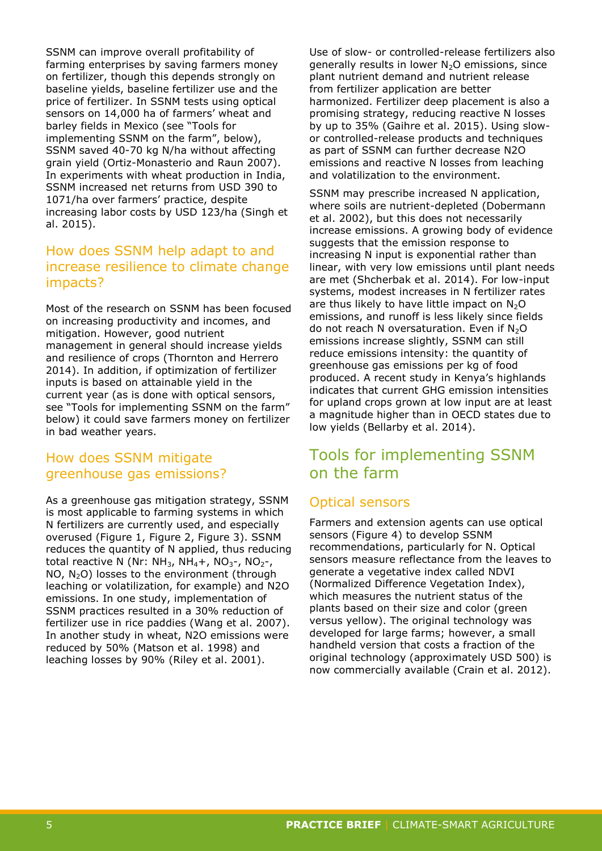SSNM can improve overall profitability of farming enterprises by saving farmers money on fertilizer, though this depends strongly on baseline yields, baseline fertilizer use and the price of fertilizer. In SSNM tests using optical sensors on 14,000 ha of farmers' wheat and barley fields in Mexico (see "Tools for implementing SSNM on the farm", below), SSNM saved 40-70 kg N/ha without affecting grain yield (Ortiz-Monasterio and Raun 2007). In experiments with wheat production in India, SSNM increased net returns from USD 390 to 1071/ha over farmers' practice, despite increasing labor costs by USD 123/ha (Singh et al. 2015).

#### How does SSNM help adapt to and increase resilience to climate change impacts?

Most of the research on SSNM has been focused on increasing productivity and incomes, and mitigation. However, good nutrient management in general should increase yields and resilience of crops (Thornton and Herrero 2014). In addition, if optimization of fertilizer inputs is based on attainable yield in the current year (as is done with optical sensors, see "Tools for implementing SSNM on the farm" below) it could save farmers money on fertilizer in bad weather years.

#### How does SSNM mitigate greenhouse gas emissions?

As a greenhouse gas mitigation strategy, SSNM is most applicable to farming systems in which N fertilizers are currently used, and especially overused (Figure 1, Figure 2, Figure 3). SSNM reduces the quantity of N applied, thus reducing total reactive N (Nr:  $NH_3$ , NH<sub>4</sub>+, NO<sub>3</sub>-, NO<sub>2</sub>-, NO,  $N<sub>2</sub>O$ ) losses to the environment (through leaching or volatilization, for example) and N2O emissions. In one study, implementation of SSNM practices resulted in a 30% reduction of fertilizer use in rice paddies (Wang et al. 2007). In another study in wheat, N2O emissions were reduced by 50% (Matson et al. 1998) and leaching losses by 90% (Riley et al. 2001).

Use of slow- or controlled-release fertilizers also generally results in lower  $N_2O$  emissions, since plant nutrient demand and nutrient release from fertilizer application are better harmonized. Fertilizer deep placement is also a promising strategy, reducing reactive N losses by up to 35% (Gaihre et al. 2015). Using slowor controlled-release products and techniques as part of SSNM can further decrease N2O emissions and reactive N losses from leaching and volatilization to the environment.

SSNM may prescribe increased N application, where soils are nutrient-depleted (Dobermann et al. 2002), but this does not necessarily increase emissions. A growing body of evidence suggests that the emission response to increasing N input is exponential rather than linear, with very low emissions until plant needs are met (Shcherbak et al. 2014). For low-input systems, modest increases in N fertilizer rates are thus likely to have little impact on  $N_2O$ emissions, and runoff is less likely since fields do not reach N oversaturation. Even if  $N_2O$ emissions increase slightly, SSNM can still reduce emissions intensity: the quantity of greenhouse gas emissions per kg of food produced. A recent study in Kenya's highlands indicates that current GHG emission intensities for upland crops grown at low input are at least a magnitude higher than in OECD states due to low yields (Bellarby et al. 2014).

# Tools for implementing SSNM on the farm

#### Optical sensors

Farmers and extension agents can use optical sensors (Figure 4) to develop SSNM recommendations, particularly for N. Optical sensors measure reflectance from the leaves to generate a vegetative index called NDVI (Normalized Difference Vegetation Index), which measures the nutrient status of the plants based on their size and color (green versus yellow). The original technology was developed for large farms; however, a small handheld version that costs a fraction of the original technology (approximately USD 500) is now commercially available (Crain et al. 2012).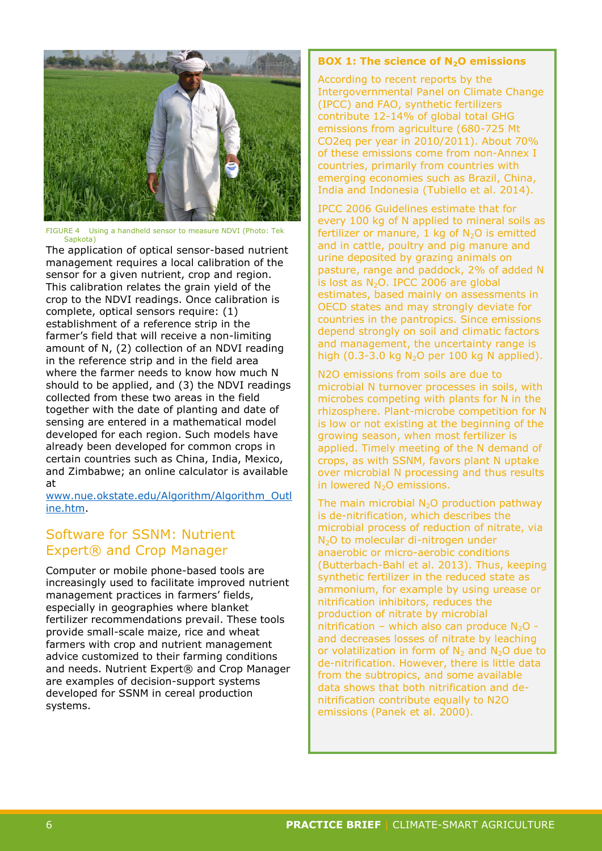

FIGURE 4 Using a handheld sensor to measure NDVI (Photo: Tek Sapkota)

The application of optical sensor-based nutrient management requires a local calibration of the sensor for a given nutrient, crop and region. This calibration relates the grain yield of the crop to the NDVI readings. Once calibration is complete, optical sensors require: (1) establishment of a reference strip in the farmer's field that will receive a non-limiting amount of N, (2) collection of an NDVI reading in the reference strip and in the field area where the farmer needs to know how much N should to be applied, and (3) the NDVI readings collected from these two areas in the field together with the date of planting and date of sensing are entered in a mathematical model developed for each region. Such models have already been developed for common crops in certain countries such as China, India, Mexico, and Zimbabwe; an online calculator is available at

[www.nue.okstate.edu/Algorithm/Algorithm\\_Outl](http://www.nue.okstate.edu/Algorithm/Algorithm_Outline.htm) [ine.htm.](http://www.nue.okstate.edu/Algorithm/Algorithm_Outline.htm)

#### Software for SSNM: Nutrient Expert® and Crop Manager

Computer or mobile phone-based tools are increasingly used to facilitate improved nutrient management practices in farmers' fields, especially in geographies where blanket fertilizer recommendations prevail. These tools provide small-scale maize, rice and wheat farmers with crop and nutrient management advice customized to their farming conditions and needs. Nutrient Expert® and Crop Manager are examples of decision-support systems developed for SSNM in cereal production systems.

#### **BOX 1: The science of N2O emissions**

According to recent reports by the Intergovernmental Panel on Climate Change (IPCC) and FAO, synthetic fertilizers contribute 12-14% of global total GHG emissions from agriculture (680-725 Mt CO2eq per year in 2010/2011). About 70% of these emissions come from non-Annex I countries, primarily from countries with emerging economies such as Brazil, China, India and Indonesia (Tubiello et al. 2014).

IPCC 2006 Guidelines estimate that for every 100 kg of N applied to mineral soils as fertilizer or manure, 1 kg of  $N_2O$  is emitted and in cattle, poultry and pig manure and urine deposited by grazing animals on pasture, range and paddock, 2% of added N is lost as  $N_2O$ . IPCC 2006 are global estimates, based mainly on assessments in OECD states and may strongly deviate for countries in the pantropics. Since emissions depend strongly on soil and climatic factors and management, the uncertainty range is high (0.3-3.0 kg  $N_2$ O per 100 kg N applied).

N2O emissions from soils are due to microbial N turnover processes in soils, with microbes competing with plants for N in the rhizosphere. Plant-microbe competition for N is low or not existing at the beginning of the growing season, when most fertilizer is applied. Timely meeting of the N demand of crops, as with SSNM, favors plant N uptake over microbial N processing and thus results in lowered N<sub>2</sub>O emissions.

The main microbial  $N_2O$  production pathway is de-nitrification, which describes the microbial process of reduction of nitrate, via N<sub>2</sub>O to molecular di-nitrogen under anaerobic or micro-aerobic conditions (Butterbach-Bahl et al. 2013). Thus, keeping synthetic fertilizer in the reduced state as ammonium, for example by using urease or nitrification inhibitors, reduces the production of nitrate by microbial nitrification – which also can produce  $N_2O$  and decreases losses of nitrate by leaching or volatilization in form of  $N_2$  and  $N_2O$  due to de-nitrification. However, there is little data from the subtropics, and some available data shows that both nitrification and denitrification contribute equally to N2O emissions (Panek et al. 2000).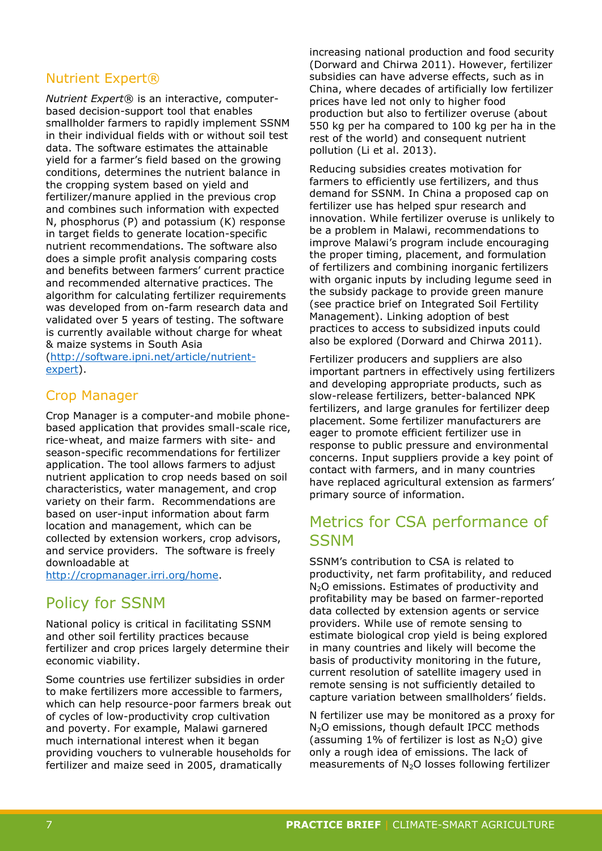#### Nutrient Expert®

*Nutrient Expert*® is an interactive, computerbased decision-support tool that enables smallholder farmers to rapidly implement SSNM in their individual fields with or without soil test data. The software estimates the attainable yield for a farmer's field based on the growing conditions, determines the nutrient balance in the cropping system based on yield and fertilizer/manure applied in the previous crop and combines such information with expected N, phosphorus (P) and potassium (K) response in target fields to generate location-specific nutrient recommendations. The software also does a simple profit analysis comparing costs and benefits between farmers' current practice and recommended alternative practices. The algorithm for calculating fertilizer requirements was developed from on-farm research data and validated over 5 years of testing. The software is currently available without charge for wheat & maize systems in South Asia [\(http://software.ipni.net/article/nutrient](http://software.ipni.net/article/nutrient-expert)[expert\)](http://software.ipni.net/article/nutrient-expert).

#### Crop Manager

Crop Manager is a computer-and mobile phonebased application that provides small-scale rice, rice-wheat, and maize farmers with site- and season-specific recommendations for fertilizer application. The tool allows farmers to adjust nutrient application to crop needs based on soil characteristics, water management, and crop variety on their farm. Recommendations are based on user-input information about farm location and management, which can be collected by extension workers, crop advisors, and service providers. The software is freely downloadable at

[http://cropmanager.irri.org/home.](http://cropmanager.irri.org/home)

#### Policy for SSNM

National policy is critical in facilitating SSNM and other soil fertility practices because fertilizer and crop prices largely determine their economic viability.

Some countries use fertilizer subsidies in order to make fertilizers more accessible to farmers, which can help resource-poor farmers break out of cycles of low-productivity crop cultivation and poverty. For example, Malawi garnered much international interest when it began providing vouchers to vulnerable households for fertilizer and maize seed in 2005, dramatically

increasing national production and food security (Dorward and Chirwa 2011). However, fertilizer subsidies can have adverse effects, such as in China, where decades of artificially low fertilizer prices have led not only to higher food production but also to fertilizer overuse (about 550 kg per ha compared to 100 kg per ha in the rest of the world) and consequent nutrient pollution (Li et al. 2013).

Reducing subsidies creates motivation for farmers to efficiently use fertilizers, and thus demand for SSNM. In China a proposed cap on fertilizer use has helped spur research and innovation. While fertilizer overuse is unlikely to be a problem in Malawi, recommendations to improve Malawi's program include encouraging the proper timing, placement, and formulation of fertilizers and combining inorganic fertilizers with organic inputs by including legume seed in the subsidy package to provide green manure (see practice brief on Integrated Soil Fertility Management). Linking adoption of best practices to access to subsidized inputs could also be explored (Dorward and Chirwa 2011).

Fertilizer producers and suppliers are also important partners in effectively using fertilizers and developing appropriate products, such as slow-release fertilizers, better-balanced NPK fertilizers, and large granules for fertilizer deep placement. Some fertilizer manufacturers are eager to promote efficient fertilizer use in response to public pressure and environmental concerns. Input suppliers provide a key point of contact with farmers, and in many countries have replaced agricultural extension as farmers' primary source of information.

# Metrics for CSA performance of **SSNM**

SSNM's contribution to CSA is related to productivity, net farm profitability, and reduced  $N<sub>2</sub>O$  emissions. Estimates of productivity and profitability may be based on farmer-reported data collected by extension agents or service providers. While use of remote sensing to estimate biological crop yield is being explored in many countries and likely will become the basis of productivity monitoring in the future, current resolution of satellite imagery used in remote sensing is not sufficiently detailed to capture variation between smallholders' fields.

N fertilizer use may be monitored as a proxy for N<sub>2</sub>O emissions, though default IPCC methods (assuming 1% of fertilizer is lost as  $N_2O$ ) give only a rough idea of emissions. The lack of measurements of  $N_2O$  losses following fertilizer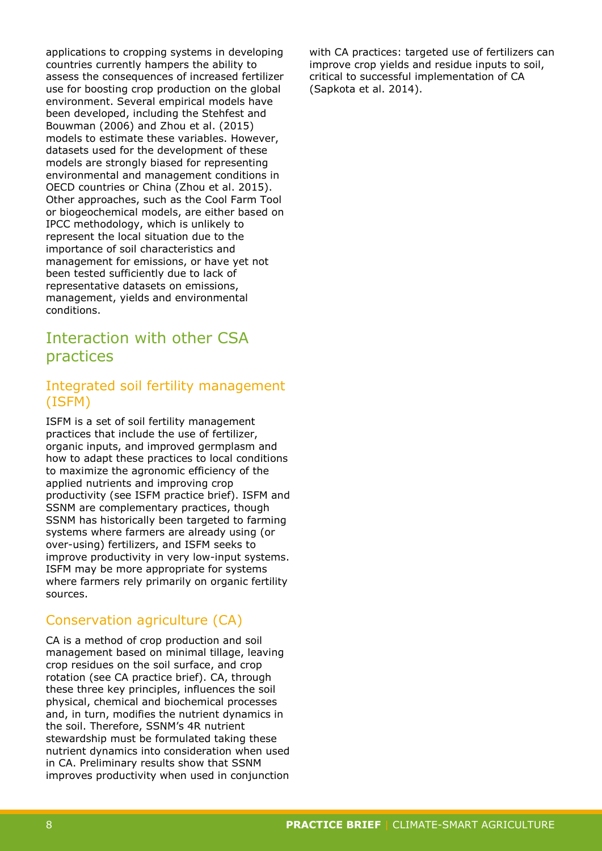applications to cropping systems in developing countries currently hampers the ability to assess the consequences of increased fertilizer use for boosting crop production on the global environment. Several empirical models have been developed, including the Stehfest and Bouwman (2006) and Zhou et al. (2015) models to estimate these variables. However, datasets used for the development of these models are strongly biased for representing environmental and management conditions in OECD countries or China (Zhou et al. 2015). Other approaches, such as the Cool Farm Tool or biogeochemical models, are either based on IPCC methodology, which is unlikely to represent the local situation due to the importance of soil characteristics and management for emissions, or have yet not been tested sufficiently due to lack of representative datasets on emissions, management, yields and environmental conditions.

### Interaction with other CSA practices

#### Integrated soil fertility management (ISFM)

ISFM is a set of soil fertility management practices that include the use of fertilizer, organic inputs, and improved germplasm and how to adapt these practices to local conditions to maximize the agronomic efficiency of the applied nutrients and improving crop productivity (see ISFM practice brief). ISFM and SSNM are complementary practices, though SSNM has historically been targeted to farming systems where farmers are already using (or over-using) fertilizers, and ISFM seeks to improve productivity in very low-input systems. ISFM may be more appropriate for systems where farmers rely primarily on organic fertility sources.

#### Conservation agriculture (CA)

CA is a method of crop production and soil management based on minimal tillage, leaving crop residues on the soil surface, and crop rotation (see CA practice brief). CA, through these three key principles, influences the soil physical, chemical and biochemical processes and, in turn, modifies the nutrient dynamics in the soil. Therefore, SSNM's 4R nutrient stewardship must be formulated taking these nutrient dynamics into consideration when used in CA. Preliminary results show that SSNM improves productivity when used in conjunction with CA practices: targeted use of fertilizers can improve crop yields and residue inputs to soil, critical to successful implementation of CA (Sapkota et al. 2014).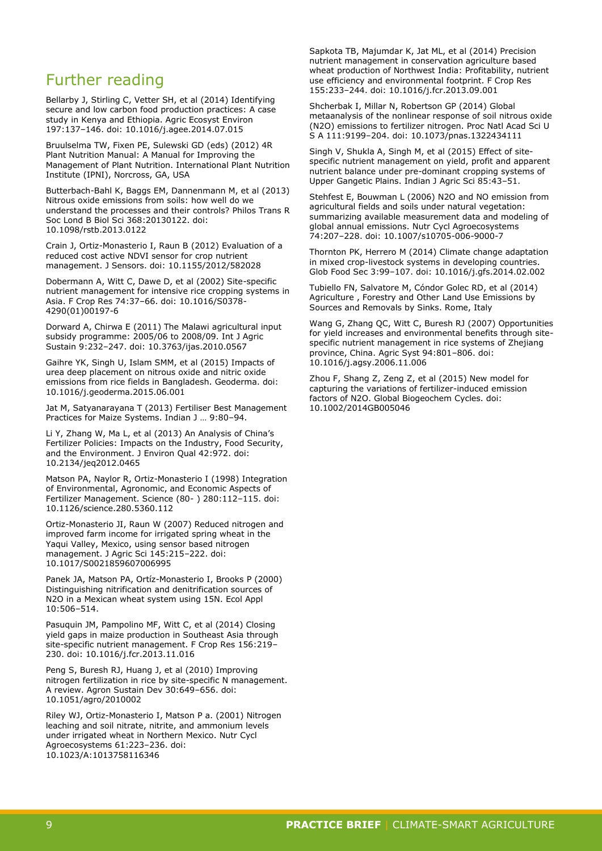#### Further reading

Bellarby J, Stirling C, Vetter SH, et al (2014) Identifying secure and low carbon food production practices: A case study in Kenya and Ethiopia. Agric Ecosyst Environ 197:137–146. doi: 10.1016/j.agee.2014.07.015

Bruulselma TW, Fixen PE, Sulewski GD (eds) (2012) 4R Plant Nutrition Manual: A Manual for Improving the Management of Plant Nutrition. International Plant Nutrition Institute (IPNI), Norcross, GA, USA

Butterbach-Bahl K, Baggs EM, Dannenmann M, et al (2013) Nitrous oxide emissions from soils: how well do we understand the processes and their controls? Philos Trans R Soc Lond B Biol Sci 368:20130122. doi: 10.1098/rstb.2013.0122

Crain J, Ortiz-Monasterio I, Raun B (2012) Evaluation of a reduced cost active NDVI sensor for crop nutrient management. J Sensors. doi: 10.1155/2012/582028

Dobermann A, Witt C, Dawe D, et al (2002) Site-specific nutrient management for intensive rice cropping systems in Asia. F Crop Res 74:37–66. doi: 10.1016/S0378- 4290(01)00197-6

Dorward A, Chirwa E (2011) The Malawi agricultural input subsidy programme: 2005/06 to 2008/09. Int J Agric Sustain 9:232–247. doi: 10.3763/ijas.2010.0567

Gaihre YK, Singh U, Islam SMM, et al (2015) Impacts of urea deep placement on nitrous oxide and nitric oxide emissions from rice fields in Bangladesh. Geoderma. doi: 10.1016/j.geoderma.2015.06.001

Jat M, Satyanarayana T (2013) Fertiliser Best Management Practices for Maize Systems. Indian J … 9:80–94.

Li Y, Zhang W, Ma L, et al (2013) An Analysis of China's Fertilizer Policies: Impacts on the Industry, Food Security, and the Environment. J Environ Qual 42:972. doi: 10.2134/jeq2012.0465

Matson PA, Naylor R, Ortiz-Monasterio I (1998) Integration of Environmental, Agronomic, and Economic Aspects of Fertilizer Management. Science (80- ) 280:112–115. doi: 10.1126/science.280.5360.112

Ortiz-Monasterio JI, Raun W (2007) Reduced nitrogen and improved farm income for irrigated spring wheat in the Yaqui Valley, Mexico, using sensor based nitrogen management. J Agric Sci 145:215–222. doi: 10.1017/S0021859607006995

Panek JA, Matson PA, Ortíz-Monasterio I, Brooks P (2000) Distinguishing nitrification and denitrification sources of N2O in a Mexican wheat system using 15N. Ecol Appl 10:506–514.

Pasuquin JM, Pampolino MF, Witt C, et al (2014) Closing yield gaps in maize production in Southeast Asia through site-specific nutrient management. F Crop Res 156:219– 230. doi: 10.1016/j.fcr.2013.11.016

Peng S, Buresh RJ, Huang J, et al (2010) Improving nitrogen fertilization in rice by site-specific N management. A review. Agron Sustain Dev 30:649–656. doi: 10.1051/agro/2010002

Riley WJ, Ortiz-Monasterio I, Matson P a. (2001) Nitrogen leaching and soil nitrate, nitrite, and ammonium levels under irrigated wheat in Northern Mexico. Nutr Cycl Agroecosystems 61:223–236. doi: 10.1023/A:1013758116346

Sapkota TB, Majumdar K, Jat ML, et al (2014) Precision nutrient management in conservation agriculture based wheat production of Northwest India: Profitability, nutrient use efficiency and environmental footprint. F Crop Res 155:233–244. doi: 10.1016/j.fcr.2013.09.001

Shcherbak I, Millar N, Robertson GP (2014) Global metaanalysis of the nonlinear response of soil nitrous oxide (N2O) emissions to fertilizer nitrogen. Proc Natl Acad Sci U S A 111:9199–204. doi: 10.1073/pnas.1322434111

Singh V, Shukla A, Singh M, et al (2015) Effect of sitespecific nutrient management on yield, profit and apparent nutrient balance under pre-dominant cropping systems of Upper Gangetic Plains. Indian J Agric Sci 85:43–51.

Stehfest E, Bouwman L (2006) N2O and NO emission from agricultural fields and soils under natural vegetation: summarizing available measurement data and modeling of global annual emissions. Nutr Cycl Agroecosystems 74:207–228. doi: 10.1007/s10705-006-9000-7

Thornton PK, Herrero M (2014) Climate change adaptation in mixed crop-livestock systems in developing countries. Glob Food Sec 3:99–107. doi: 10.1016/j.gfs.2014.02.002

Tubiello FN, Salvatore M, Cóndor Golec RD, et al (2014) Agriculture , Forestry and Other Land Use Emissions by Sources and Removals by Sinks. Rome, Italy

Wang G, Zhang QC, Witt C, Buresh RJ (2007) Opportunities for yield increases and environmental benefits through sitespecific nutrient management in rice systems of Zhejiang province, China. Agric Syst 94:801–806. doi: 10.1016/j.agsy.2006.11.006

Zhou F, Shang Z, Zeng Z, et al (2015) New model for capturing the variations of fertilizer-induced emission factors of N2O. Global Biogeochem Cycles. doi: 10.1002/2014GB005046